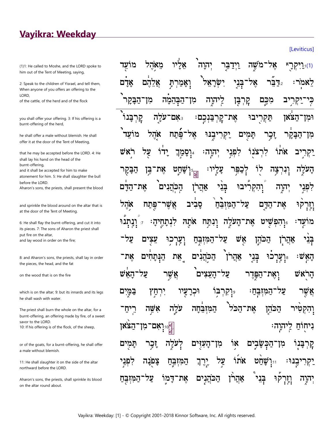## Vayikra: Weekday

(1)1: He called to Moshe, and the LORD spoke to him out of the Tent of Meeting, saying,

2: Speak to the children of Yisrael, and tell them, When anyone of you offers an offering to the LORD.

of the cattle, of the herd and of the flock

you shall offer your offering. 3: If his offering is a burnt-offering of the herd,

he shall offer a male without blemish. He shall offer it at the door of the Tent of Meeting,

that he may be accepted before the LORD. 4: He shall lay his hand on the head of the burnt-offering,

and it shall be accepted for him to make

atonement for him. 5: He shall slaughter the bull before the LORD.

Aharon's sons, the priests, shall present the blood

and sprinkle the blood around on the altar that is at the door of the Tent of Meeting.

6: He shall flay the burnt-offering, and cut it into its pieces. 7: The sons of Aharon the priest shall put fire on the altar, and lay wood in order on the fire;

8: and Aharon's sons, the priests, shall lay in order the pieces, the head, and the fat

on the wood that is on the fire

which is on the altar; 9: but its innards and its legs he shall wash with water.

The priest shall burn the whole on the altar, for a burnt-offering, an offering made by fire, of a sweet savor to the LORD. 10: If his offering is of the flock, of the sheep,

or of the goats, for a burnt-offering, he shall offer a male without blemish.

11: He shall slaughter it on the side of the altar northward before the LORD.

Aharon's sons, the priests, shall sprinkle its blood on the altar round about.

| וַיִּיקְרָ אָל־מֹשֶׁה וַיְדַבְּרָ יְהוָה אֲלִיוּ מֵאָהֶל מוֹעֻד).                                                   |
|---------------------------------------------------------------------------------------------------------------------|
| לֵאמֹר: <sub>ּי</sub> ִדַּבֵּל אֶל־בְּנֵי יִשְׂרָאֵל <sup>י</sup> וְאָמַרְתָּ אֲלֵהֶם אָדָם                         |
| כְּי־יַקְרִיב מִכֶּם קָרְבָּן לְיתִוֶה מִן־הַבְּהֵמָ֫ה מִן־הַבָּקִר <sup>י</sup>                                    |
| וּמִן־הַצֹּאוֹ תַּקְרָיבוּ אֶת־קְרְבַּנְכֶם: צִּאָם־עֹלֶה קְרְבָּנו <sup>ּי</sup>                                   |
| מִן־הַבָּקֵר זָבְר תָּמִים יַקְרִיבֶנּוּ אֶל־פֶּֿתַח אָהֶל מוֹעֵד <sup>י</sup>                                      |
| יַקְרִיב אֹתוֹ לִרְצֹנָוֹ לִפְגִי יְהוְה: וּיְסָמַךְ יָדוֹ עֲל רֹאִשׁ                                               |
| הָעֹלֶה וְנִרְצָה לַוֹ לְכַפִּר עָלְיוּ: <sub>אֲז</sub> ִיְשָׁחַָט אֶת־בֶּן הַבָּקָר                                |
| לִפְּגֵי יְה <i>ֶ</i> וָה וְהִקְרִיּבוּ בְּנֵ <sup>ׂ</sup> י אַהֲרָן הְכְּהֲנִים <sup>י</sup> אֶת־הַדָּם            |
| וָיְרְק <sup>ְ</sup> וּ אֶת־הַדֶּם עַל־הַמִּזְבֵּחַ סָבִיב אֲשֶׁר־פֶּתַח אָהֶל                                      |
| מוֹאֶד <sup>ָ</sup> : יְּוָהִפְּשָׁיט אֶת־הָעֹלֶה וְנִתַּח אֹתָהּ לִנְתָחֶיהָ: <sub>״</sub> וְנְתְנ <sup>ָ</sup> וּ |
| בְּנֵי אַהֲרָן הַכֹּהֶן אֶשׁ עַל־הַמִּזְבֶּחַ וְעָרְכִוּ עֵצְיִם עַל־                                               |
| הָאִֽשׁः <sub>ै</sub> יְעְרְכוּ בְּנִיָ אַהֲרֹן הַכְּהֲנִים אֶת הַנְּתָחִים אֶת־                                    |
| הָרָאשׁ וְאֶת־הַפְּדֶר עַל־הָעֵצִים <sup>ֶ</sup> אֲשֶר עַל־הָאֵּשׁ                                                  |
| <mark>אֲ</mark> שֶׁר עַל־הַמִּזְבְּחַ: <sub>"ּ</sub> וָקִרְבְּוֹ וּכְרָעֲיוּ יִרְחַץ <sub>ٌ</sub> בַּמְּיִם         |
| וְהִקְטִּיר הַכֹּהֶן אֶת־הַכֹּל הַמִּזְבִדֶּה עֹלֶה אָשֶׁה רֵיְחַ־                                                  |
| <sub>ְ</sub> וְאָם־מִן־הַצֹּאן<br>ּבִיחֻוֹּחַ לְיהוֶה                                                               |
| קִרְבָּנָוֹ מִן־הַבְּשָׂבֶיִם אָוֹ מִן־הָעָזֶים לְעֹלֶה זָבְר תָּמְיִם                                              |
| יַקְרִיבֶנּוּ <sup>ָ</sup> <sub>יִי</sub> ּוְשָׁחַט אֹתוֹ עֲל יֶרֶךְ הַמִּזְבֶּחַ צָּפְׂנָה לִפְּנֵי                |
| יְהִיֶה וְזְרָקֹוּ בְּנֵי אַהֲרֹן הַכֹּהֲנָיָם אֶת־דָּמִוֹ עַל־הַמִּזְבֶּחַ                                         |

[Leviticus]